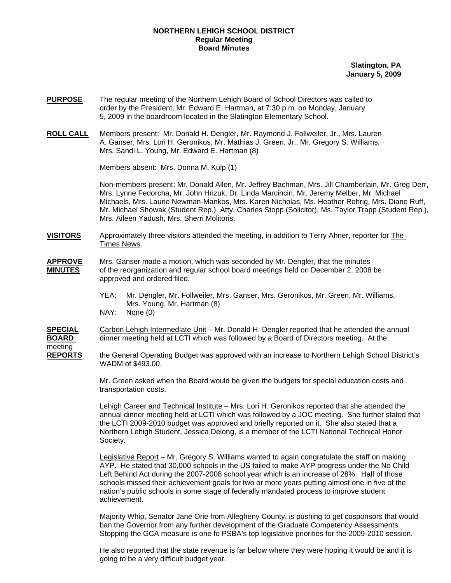## **NORTHERN LEHIGH SCHOOL DISTRICT Regular Meeting Board Minutes**

**Slatington, PA January 5, 2009**

- **PURPOSE** The regular meeting of the Northern Lehigh Board of School Directors was called to order by the President, Mr. Edward E. Hartman, at 7:30 p.m. on Monday, January 5, 2009 in the boardroom located in the Slatington Elementary School.
- **ROLL CALL** Members present: Mr. Donald H. Dengler, Mr. Raymond J. Follweiler, Jr., Mrs. Lauren A. Ganser, Mrs. Lori H. Geronikos, Mr. Mathias J. Green, Jr., Mr. Gregory S. Williams, Mrs. Sandi L. Young, Mr. Edward E. Hartman (8)

Members absent: Mrs. Donna M. Kulp (1)

Non-members present: Mr. Donald Allen, Mr. Jeffrey Bachman, Mrs. Jill Chamberlain, Mr. Greg Derr, Mrs. Lynne Fedorcha, Mr. John Hrizuk, Dr. Linda Marcincin, Mr. Jeremy Melber, Mr. Michael Michaels, Mrs. Laurie Newman-Mankos, Mrs. Karen Nicholas, Ms. Heather Rehrig, Mrs. Diane Ruff, Mr. Michael Showak (Student Rep.), Atty. Charles Stopp (Solicitor), Ms. Taylor Trapp (Student Rep.), Mrs. Aileen Yadush, Mrs. Sherri Molitoris.

**VISITORS** Approximately three visitors attended the meeting, in addition to Terry Ahner, reporter for The Times News.

- **APPROVE** Mrs. Ganser made a motion, which was seconded by Mr. Dengler, that the minutes **MINUTES** of the reorganization and regular school board meetings held on December 2, 2008 be approved and ordered filed.
	- YEA: Mr. Dengler, Mr. Follweiler, Mrs. Ganser, Mrs. Geronikos, Mr. Green, Mr. Williams, Mrs. Young, Mr. Hartman (8)
	- NAY: None (0)

meeting

**SPECIAL** Carbon Lehigh Intermediate Unit – Mr. Donald H. Dengler reported that he attended the annual **BOARD** dinner meeting held at LCTI which was followed by a Board of Directors meeting. At the

**REPORTS** the General Operating Budget was approved with an increase to Northern Lehigh School District's WADM of \$493.00.

> Mr. Green asked when the Board would be given the budgets for special education costs and transportation costs.

 Lehigh Career and Technical Institute – Mrs. Lori H. Geronikos reported that she attended the annual dinner meeting held at LCTI which was followed by a JOC meeting. She further stated that the LCTI 2009-2010 budget was approved and briefly reported on it. She also stated that a Northern Lehigh Student, Jessica Delong, is a member of the LCTI National Technical Honor Society.

Legislative Report – Mr. Gregory S. Williams wanted to again congratulate the staff on making AYP. He stated that 30,000 schools in the US failed to make AYP progress under the No Child Left Behind Act during the 2007-2008 school year which is an increase of 28%. Half of those schools missed their achievement goals for two or more years putting almost one in five of the nation's public schools in some stage of federally mandated process to improve student achievement.

 Majority Whip, Senator Jane Orie from Allegheny County, is pushing to get cosponsors that would ban the Governor from any further development of the Graduate Competency Assessments. Stopping the GCA measure is one fo PSBA's top legislative priorities for the 2009-2010 session.

 He also reported that the state revenue is far below where they were hoping it would be and it is going to be a very difficult budget year.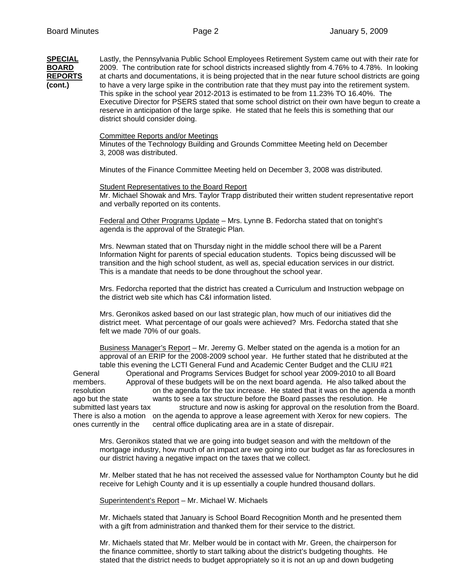**SPECIAL** Lastly, the Pennsylvania Public School Employees Retirement System came out with their rate for **BOARD** 2009. The contribution rate for school districts increased slightly from 4.76% to 4.78%. In looking **REPORTS** at charts and documentations, it is being projected that in the near future school districts are going **(cont.)** to have a very large spike in the contribution rate that they must pay into the retirement system. This spike in the school year 2012-2013 is estimated to be from 11.23% TO 16.40%. The Executive Director for PSERS stated that some school district on their own have begun to create a reserve in anticipation of the large spike. He stated that he feels this is something that our district should consider doing. Committee Reports and/or Meetings Minutes of the Technology Building and Grounds Committee Meeting held on December 3, 2008 was distributed. Minutes of the Finance Committee Meeting held on December 3, 2008 was distributed. Student Representatives to the Board Report Mr. Michael Showak and Mrs. Taylor Trapp distributed their written student representative report and verbally reported on its contents. Federal and Other Programs Update – Mrs. Lynne B. Fedorcha stated that on tonight's agenda is the approval of the Strategic Plan. Mrs. Newman stated that on Thursday night in the middle school there will be a Parent Information Night for parents of special education students. Topics being discussed will be transition and the high school student, as well as, special education services in our district. This is a mandate that needs to be done throughout the school year. Mrs. Fedorcha reported that the district has created a Curriculum and Instruction webpage on the district web site which has C&I information listed.

> Mrs. Geronikos asked based on our last strategic plan, how much of our initiatives did the district meet. What percentage of our goals were achieved? Mrs. Fedorcha stated that she felt we made 70% of our goals.

Business Manager's Report – Mr. Jeremy G. Melber stated on the agenda is a motion for an approval of an ERIP for the 2008-2009 school year. He further stated that he distributed at the table this evening the LCTI General Fund and Academic Center Budget and the CLIU #21 General Operational and Programs Services Budget for school year 2009-2010 to all Board members. Approval of these budgets will be on the next board agenda. He also talked about the resolution on the agenda for the tax increase. He stated that it was on the agenda a month ago but the state wants to see a tax structure before the Board passes the resolution. He submitted last years tax structure and now is asking for approval on the resolution from the Board. There is also a motion on the agenda to approve a lease agreement with Xerox for new copiers. The ones currently in the central office duplicating area are in a state of disrepair.

Mrs. Geronikos stated that we are going into budget season and with the meltdown of the mortgage industry, how much of an impact are we going into our budget as far as foreclosures in our district having a negative impact on the taxes that we collect.

Mr. Melber stated that he has not received the assessed value for Northampton County but he did receive for Lehigh County and it is up essentially a couple hundred thousand dollars.

Superintendent's Report – Mr. Michael W. Michaels

Mr. Michaels stated that January is School Board Recognition Month and he presented them with a gift from administration and thanked them for their service to the district.

 Mr. Michaels stated that Mr. Melber would be in contact with Mr. Green, the chairperson for the finance committee, shortly to start talking about the district's budgeting thoughts. He stated that the district needs to budget appropriately so it is not an up and down budgeting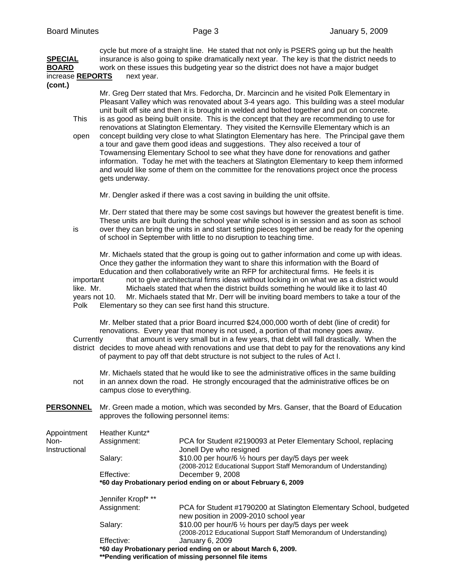cycle but more of a straight line. He stated that not only is PSERS going up but the health **SPECIAL** insurance is also going to spike dramatically next year. The key is that the district needs to **BOARD** work on these issues this budgeting year so the district does not have a major budget increase **REPORTS** next year.

**(cont.)** 

Mr. Greg Derr stated that Mrs. Fedorcha, Dr. Marcincin and he visited Polk Elementary in Pleasant Valley which was renovated about 3-4 years ago. This building was a steel modular unit built off site and then it is brought in welded and bolted together and put on concrete.

- This is as good as being built onsite. This is the concept that they are recommending to use for renovations at Slatington Elementary. They visited the Kernsville Elementary which is an open concept building very close to what Slatington Elementary has here. The Principal gave them a tour and gave them good ideas and suggestions. They also received a tour of Towamensing Elementary School to see what they have done for renovations and gather information. Today he met with the teachers at Slatington Elementary to keep them informed and would like some of them on the committee for the renovations project once the process gets underway.
	- Mr. Dengler asked if there was a cost saving in building the unit offsite.

Mr. Derr stated that there may be some cost savings but however the greatest benefit is time. These units are built during the school year while school is in session and as soon as school is over they can bring the units in and start setting pieces together and be ready for the opening of school in September with little to no disruption to teaching time.

Mr. Michaels stated that the group is going out to gather information and come up with ideas. Once they gather the information they want to share this information with the Board of Education and then collaboratively write an RFP for architectural firms. He feels it is important not to give architectural firms ideas without locking in on what we as a district would

like. Mr. Michaels stated that when the district builds something he would like it to last 40 years not 10. Mr. Michaels stated that Mr. Derr will be inviting board members to take a tour of the Polk Elementary so they can see first hand this structure.

Mr. Melber stated that a prior Board incurred \$24,000,000 worth of debt (line of credit) for renovations. Every year that money is not used, a portion of that money goes away. Currently that amount is very small but in a few years, that debt will fall drastically. When the district decides to move ahead with renovations and use that debt to pay for the renovations any kind of payment to pay off that debt structure is not subject to the rules of Act I.

Mr. Michaels stated that he would like to see the administrative offices in the same building not in an annex down the road. He strongly encouraged that the administrative offices be on campus close to everything.

**PERSONNEL** Mr. Green made a motion, which was seconded by Mrs. Ganser, that the Board of Education approves the following personnel items:

| Appointment           | Heather Kuntz*                                                  |                                                                                                                           |  |  |  |
|-----------------------|-----------------------------------------------------------------|---------------------------------------------------------------------------------------------------------------------------|--|--|--|
| Non-<br>Instructional | Assignment:                                                     | PCA for Student #2190093 at Peter Elementary School, replacing<br>Jonell Dye who resigned                                 |  |  |  |
|                       | Salary:                                                         | \$10.00 per hour/6 1/2 hours per day/5 days per week<br>(2008-2012 Educational Support Staff Memorandum of Understanding) |  |  |  |
|                       | Effective:                                                      | December 9, 2008                                                                                                          |  |  |  |
|                       | *60 day Probationary period ending on or about February 6, 2009 |                                                                                                                           |  |  |  |
|                       | Jennifer Kropf* **                                              |                                                                                                                           |  |  |  |
|                       | Assignment:                                                     | PCA for Student #1790200 at Slatington Elementary School, budgeted<br>new position in 2009-2010 school year               |  |  |  |
|                       | Salary:                                                         | \$10.00 per hour/6 1/2 hours per day/5 days per week<br>(2008-2012 Educational Support Staff Memorandum of Understanding) |  |  |  |
|                       | Effective:                                                      | January 6, 2009                                                                                                           |  |  |  |
|                       | *60 day Probationary period ending on or about March 6, 2009.   |                                                                                                                           |  |  |  |
|                       |                                                                 | ** Pending verification of missing personnel file items                                                                   |  |  |  |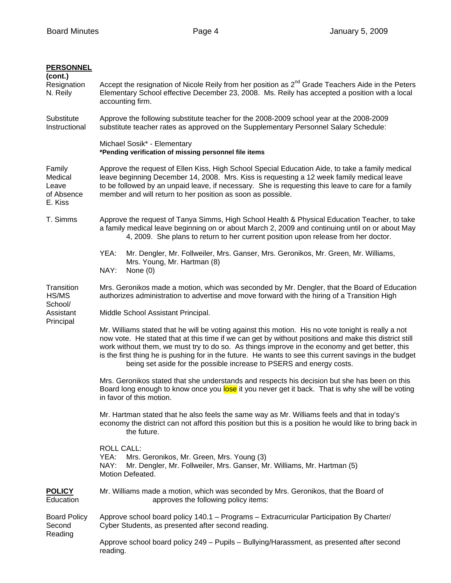| <b>PERSONNEL</b><br>(cont.)<br>Resignation<br>N. Reily | Accept the resignation of Nicole Reily from her position as $2^{nd}$ Grade Teachers Aide in the Peters<br>Elementary School effective December 23, 2008. Ms. Reily has accepted a position with a local<br>accounting firm.                                                                                                                                                                                                                                                                      |  |  |  |  |
|--------------------------------------------------------|--------------------------------------------------------------------------------------------------------------------------------------------------------------------------------------------------------------------------------------------------------------------------------------------------------------------------------------------------------------------------------------------------------------------------------------------------------------------------------------------------|--|--|--|--|
| Substitute<br>Instructional                            | Approve the following substitute teacher for the 2008-2009 school year at the 2008-2009<br>substitute teacher rates as approved on the Supplementary Personnel Salary Schedule:                                                                                                                                                                                                                                                                                                                  |  |  |  |  |
|                                                        | Michael Sosik* - Elementary<br>*Pending verification of missing personnel file items                                                                                                                                                                                                                                                                                                                                                                                                             |  |  |  |  |
| Family<br>Medical<br>Leave<br>of Absence<br>E. Kiss    | Approve the request of Ellen Kiss, High School Special Education Aide, to take a family medical<br>leave beginning December 14, 2008. Mrs. Kiss is requesting a 12 week family medical leave<br>to be followed by an unpaid leave, if necessary. She is requesting this leave to care for a family<br>member and will return to her position as soon as possible.                                                                                                                                |  |  |  |  |
| T. Simms                                               | Approve the request of Tanya Simms, High School Health & Physical Education Teacher, to take<br>a family medical leave beginning on or about March 2, 2009 and continuing until on or about May<br>4, 2009. She plans to return to her current position upon release from her doctor.                                                                                                                                                                                                            |  |  |  |  |
|                                                        | YEA:<br>Mr. Dengler, Mr. Follweiler, Mrs. Ganser, Mrs. Geronikos, Mr. Green, Mr. Williams,<br>Mrs. Young, Mr. Hartman (8)<br>NAY:<br>None $(0)$                                                                                                                                                                                                                                                                                                                                                  |  |  |  |  |
| Transition<br>HS/MS                                    | Mrs. Geronikos made a motion, which was seconded by Mr. Dengler, that the Board of Education<br>authorizes administration to advertise and move forward with the hiring of a Transition High                                                                                                                                                                                                                                                                                                     |  |  |  |  |
| School/<br>Assistant                                   | Middle School Assistant Principal.                                                                                                                                                                                                                                                                                                                                                                                                                                                               |  |  |  |  |
| Principal                                              | Mr. Williams stated that he will be voting against this motion. His no vote tonight is really a not<br>now vote. He stated that at this time if we can get by without positions and make this district still<br>work without them, we must try to do so. As things improve in the economy and get better, this<br>is the first thing he is pushing for in the future. He wants to see this current savings in the budget<br>being set aside for the possible increase to PSERS and energy costs. |  |  |  |  |
|                                                        | Mrs. Geronikos stated that she understands and respects his decision but she has been on this<br>Board long enough to know once you lose it you never get it back. That is why she will be voting<br>in favor of this motion.                                                                                                                                                                                                                                                                    |  |  |  |  |
|                                                        | Mr. Hartman stated that he also feels the same way as Mr. Williams feels and that in today's<br>economy the district can not afford this position but this is a position he would like to bring back in<br>the future.                                                                                                                                                                                                                                                                           |  |  |  |  |
|                                                        | <b>ROLL CALL:</b><br>YEA:<br>Mrs. Geronikos, Mr. Green, Mrs. Young (3)<br>NAY:<br>Mr. Dengler, Mr. Follweiler, Mrs. Ganser, Mr. Williams, Mr. Hartman (5)<br>Motion Defeated.                                                                                                                                                                                                                                                                                                                    |  |  |  |  |
| <b>POLICY</b><br>Education                             | Mr. Williams made a motion, which was seconded by Mrs. Geronikos, that the Board of<br>approves the following policy items:                                                                                                                                                                                                                                                                                                                                                                      |  |  |  |  |
| <b>Board Policy</b><br>Second                          | Approve school board policy 140.1 - Programs - Extracurricular Participation By Charter/<br>Cyber Students, as presented after second reading.                                                                                                                                                                                                                                                                                                                                                   |  |  |  |  |
| Reading                                                | Approve school board policy 249 - Pupils - Bullying/Harassment, as presented after second<br>reading.                                                                                                                                                                                                                                                                                                                                                                                            |  |  |  |  |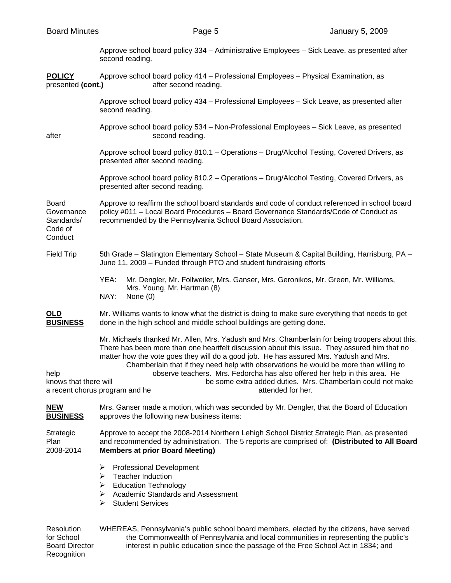|  | <b>Board Minutes</b> |
|--|----------------------|
|--|----------------------|

| <b>Board Minutes</b>                                            |                                                                                                                                                                                                                                                    | Page 5                                                                                                                          |                   | January 5, 2009                                                                                                                                                                                                                                                                                                                                                                                                                       |  |
|-----------------------------------------------------------------|----------------------------------------------------------------------------------------------------------------------------------------------------------------------------------------------------------------------------------------------------|---------------------------------------------------------------------------------------------------------------------------------|-------------------|---------------------------------------------------------------------------------------------------------------------------------------------------------------------------------------------------------------------------------------------------------------------------------------------------------------------------------------------------------------------------------------------------------------------------------------|--|
|                                                                 | second reading.                                                                                                                                                                                                                                    |                                                                                                                                 |                   | Approve school board policy 334 - Administrative Employees - Sick Leave, as presented after                                                                                                                                                                                                                                                                                                                                           |  |
| <b>POLICY</b><br>presented (cont.)                              |                                                                                                                                                                                                                                                    | Approve school board policy 414 - Professional Employees - Physical Examination, as<br>after second reading.                    |                   |                                                                                                                                                                                                                                                                                                                                                                                                                                       |  |
|                                                                 | second reading.                                                                                                                                                                                                                                    | Approve school board policy 434 – Professional Employees – Sick Leave, as presented after                                       |                   |                                                                                                                                                                                                                                                                                                                                                                                                                                       |  |
| after                                                           |                                                                                                                                                                                                                                                    | Approve school board policy 534 - Non-Professional Employees - Sick Leave, as presented<br>second reading.                      |                   |                                                                                                                                                                                                                                                                                                                                                                                                                                       |  |
|                                                                 |                                                                                                                                                                                                                                                    | presented after second reading.                                                                                                 |                   | Approve school board policy 810.1 - Operations - Drug/Alcohol Testing, Covered Drivers, as                                                                                                                                                                                                                                                                                                                                            |  |
|                                                                 |                                                                                                                                                                                                                                                    | presented after second reading.                                                                                                 |                   | Approve school board policy 810.2 - Operations - Drug/Alcohol Testing, Covered Drivers, as                                                                                                                                                                                                                                                                                                                                            |  |
| <b>Board</b><br>Governance<br>Standards/<br>Code of<br>Conduct  | Approve to reaffirm the school board standards and code of conduct referenced in school board<br>policy #011 - Local Board Procedures - Board Governance Standards/Code of Conduct as<br>recommended by the Pennsylvania School Board Association. |                                                                                                                                 |                   |                                                                                                                                                                                                                                                                                                                                                                                                                                       |  |
| <b>Field Trip</b>                                               | 5th Grade – Slatington Elementary School – State Museum & Capital Building, Harrisburg, PA –<br>June 11, 2009 - Funded through PTO and student fundraising efforts                                                                                 |                                                                                                                                 |                   |                                                                                                                                                                                                                                                                                                                                                                                                                                       |  |
|                                                                 | YEA:<br>NAY:                                                                                                                                                                                                                                       | Mr. Dengler, Mr. Follweiler, Mrs. Ganser, Mrs. Geronikos, Mr. Green, Mr. Williams,<br>Mrs. Young, Mr. Hartman (8)<br>None $(0)$ |                   |                                                                                                                                                                                                                                                                                                                                                                                                                                       |  |
| OLD<br><b>BUSINESS</b>                                          |                                                                                                                                                                                                                                                    | done in the high school and middle school buildings are getting done.                                                           |                   | Mr. Williams wants to know what the district is doing to make sure everything that needs to get                                                                                                                                                                                                                                                                                                                                       |  |
| help<br>knows that there will<br>a recent chorus program and he |                                                                                                                                                                                                                                                    | matter how the vote goes they will do a good job. He has assured Mrs. Yadush and Mrs.                                           | attended for her. | Mr. Michaels thanked Mr. Allen, Mrs. Yadush and Mrs. Chamberlain for being troopers about this.<br>There has been more than one heartfelt discussion about this issue. They assured him that no<br>Chamberlain that if they need help with observations he would be more than willing to<br>observe teachers. Mrs. Fedorcha has also offered her help in this area. He<br>be some extra added duties. Mrs. Chamberlain could not make |  |
| <b>NEW</b><br><b>BUSINESS</b>                                   | Mrs. Ganser made a motion, which was seconded by Mr. Dengler, that the Board of Education<br>approves the following new business items:                                                                                                            |                                                                                                                                 |                   |                                                                                                                                                                                                                                                                                                                                                                                                                                       |  |

Strategic Approve to accept the 2008-2014 Northern Lehigh School District Strategic Plan, as presented Plan and recommended by administration. The 5 reports are comprised of: **(Distributed to All Board Members at prior Board Meeting)** 

- ¾ Professional Development
- $\triangleright$  Teacher Induction
- ¾ Education Technology
- ightharpoonup Academic Standards and Assessment  $\geq$  Student Services
- Student Services

Resolution WHEREAS, Pennsylvania's public school board members, elected by the citizens, have served for School the Commonwealth of Pennsylvania and local communities in representing the public's Board Director interest in public education since the passage of the Free School Act in 1834; and Recognition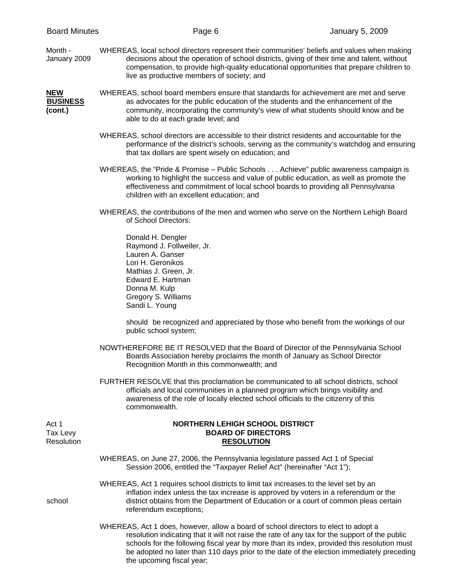Month - WHEREAS, local school directors represent their communities' beliefs and values when making January 2009 decisions about the operation of school districts, giving of their time and talent, without compensation, to provide high-quality educational opportunities that prepare children to live as productive members of society; and

## **NEW** WHEREAS, school board members ensure that standards for achievement are met and serve **BUSINESS** as advocates for the public education of the students and the enhancement of the **(cont.)** community, incorporating the community's view of what students should know and be able to do at each grade level; and

- WHEREAS, school directors are accessible to their district residents and accountable for the performance of the district's schools, serving as the community's watchdog and ensuring that tax dollars are spent wisely on education; and
- WHEREAS, the "Pride & Promise Public Schools . . . Achieve" public awareness campaign is working to highlight the success and value of public education, as well as promote the effectiveness and commitment of local school boards to providing all Pennsylvania children with an excellent education; and
- WHEREAS, the contributions of the men and women who serve on the Northern Lehigh Board of School Directors:

 Donald H. Dengler Raymond J. Follweiler, Jr. Lauren A. Ganser Lori H. Geronikos Mathias J. Green, Jr. Edward E. Hartman Donna M. Kulp Gregory S. Williams Sandi L. Young

 should be recognized and appreciated by those who benefit from the workings of our public school system;

- NOWTHEREFORE BE IT RESOLVED that the Board of Director of the Pennsylvania School Boards Association hereby proclaims the month of January as School Director Recognition Month in this commonwealth; and
- FURTHER RESOLVE that this proclamation be communicated to all school districts, school officials and local communities in a planned program which brings visibility and awareness of the role of locally elected school officials to the citizenry of this commonwealth.

## Act 1 **NORTHERN LEHIGH SCHOOL DISTRICT**  Tax Levy **BOARD OF DIRECTORS** Resolution **RESOLUTION**

 WHEREAS, on June 27, 2006, the Pennsylvania legislature passed Act 1 of Special Session 2006, entitled the "Taxpayer Relief Act" (hereinafter "Act 1");

 WHEREAS, Act 1 requires school districts to limit tax increases to the level set by an inflation index unless the tax increase is approved by voters in a referendum or the school district obtains from the Department of Education or a court of common pleas certain referendum exceptions;

> WHEREAS, Act 1 does, however, allow a board of school directors to elect to adopt a resolution indicating that it will not raise the rate of any tax for the support of the public schools for the following fiscal year by more than its index, provided this resolution must be adopted no later than 110 days prior to the date of the election immediately preceding the upcoming fiscal year;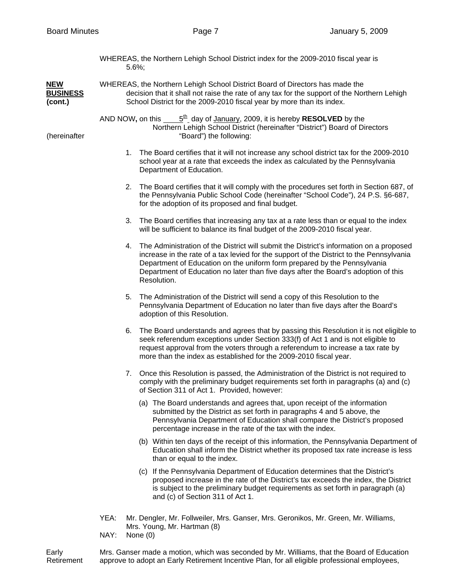|                                          | WHEREAS, the Northern Lehigh School District index for the 2009-2010 fiscal year is<br>$5.6\%$ ; |    |                                                                                                                                                                                                                                                                                                                                                                      |
|------------------------------------------|--------------------------------------------------------------------------------------------------|----|----------------------------------------------------------------------------------------------------------------------------------------------------------------------------------------------------------------------------------------------------------------------------------------------------------------------------------------------------------------------|
| <b>NEW</b><br><b>BUSINESS</b><br>(cont.) |                                                                                                  |    | WHEREAS, the Northern Lehigh School District Board of Directors has made the<br>decision that it shall not raise the rate of any tax for the support of the Northern Lehigh<br>School District for the 2009-2010 fiscal year by more than its index.                                                                                                                 |
| (hereinafter                             |                                                                                                  |    | AND NOW, on this $\underline{5^{\underline{th}}}$ day of <u>January</u> , 2009, it is hereby <b>RESOLVED</b> by the<br>Northern Lehigh School District (hereinafter "District") Board of Directors<br>"Board") the following:                                                                                                                                        |
|                                          |                                                                                                  |    | 1. The Board certifies that it will not increase any school district tax for the 2009-2010<br>school year at a rate that exceeds the index as calculated by the Pennsylvania<br>Department of Education.                                                                                                                                                             |
|                                          |                                                                                                  |    | 2. The Board certifies that it will comply with the procedures set forth in Section 687, of<br>the Pennsylvania Public School Code (hereinafter "School Code"), 24 P.S. §6-687,<br>for the adoption of its proposed and final budget.                                                                                                                                |
|                                          |                                                                                                  | 3. | The Board certifies that increasing any tax at a rate less than or equal to the index<br>will be sufficient to balance its final budget of the 2009-2010 fiscal year.                                                                                                                                                                                                |
|                                          |                                                                                                  | 4. | The Administration of the District will submit the District's information on a proposed<br>increase in the rate of a tax levied for the support of the District to the Pennsylvania<br>Department of Education on the uniform form prepared by the Pennsylvania<br>Department of Education no later than five days after the Board's adoption of this<br>Resolution. |
|                                          |                                                                                                  | 5. | The Administration of the District will send a copy of this Resolution to the<br>Pennsylvania Department of Education no later than five days after the Board's<br>adoption of this Resolution.                                                                                                                                                                      |
|                                          |                                                                                                  | 6. | The Board understands and agrees that by passing this Resolution it is not eligible to<br>seek referendum exceptions under Section 333(f) of Act 1 and is not eligible to<br>request approval from the voters through a referendum to increase a tax rate by<br>more than the index as established for the 2009-2010 fiscal year.                                    |
|                                          |                                                                                                  | 7. | Once this Resolution is passed, the Administration of the District is not required to<br>comply with the preliminary budget requirements set forth in paragraphs (a) and (c)<br>of Section 311 of Act 1. Provided, however:                                                                                                                                          |
|                                          |                                                                                                  |    | (a) The Board understands and agrees that, upon receipt of the information<br>submitted by the District as set forth in paragraphs 4 and 5 above, the<br>Pennsylvania Department of Education shall compare the District's proposed<br>percentage increase in the rate of the tax with the index.                                                                    |
|                                          |                                                                                                  |    | (b) Within ten days of the receipt of this information, the Pennsylvania Department of<br>Education shall inform the District whether its proposed tax rate increase is less<br>than or equal to the index.                                                                                                                                                          |
|                                          |                                                                                                  |    | (c) If the Pennsylvania Department of Education determines that the District's<br>proposed increase in the rate of the District's tax exceeds the index, the District<br>is subject to the preliminary budget requirements as set forth in paragraph (a)<br>and (c) of Section 311 of Act 1.                                                                         |
|                                          | YEA:                                                                                             |    | Mr. Dengler, Mr. Follweiler, Mrs. Ganser, Mrs. Geronikos, Mr. Green, Mr. Williams,<br>Mrs. Young, Mr. Hartman (8)                                                                                                                                                                                                                                                    |
|                                          | NAY:                                                                                             |    | None $(0)$                                                                                                                                                                                                                                                                                                                                                           |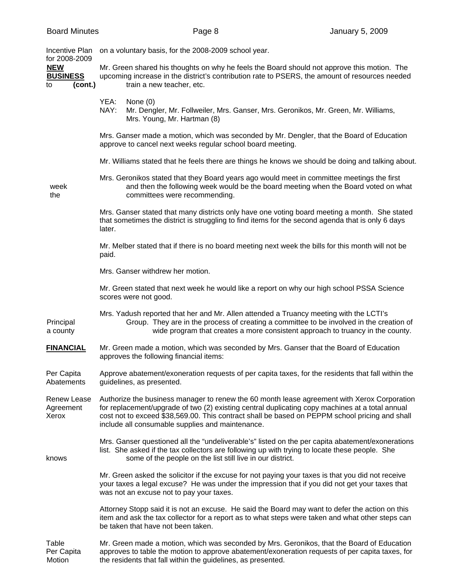| <b>Incentive Plan</b>                                           | on a voluntary basis, for the 2008-2009 school year.                                                                                                                                                                                                                                                                                                 |  |  |  |  |
|-----------------------------------------------------------------|------------------------------------------------------------------------------------------------------------------------------------------------------------------------------------------------------------------------------------------------------------------------------------------------------------------------------------------------------|--|--|--|--|
| for 2008-2009<br><b>NEW</b><br><b>BUSINESS</b><br>(cont.)<br>to | Mr. Green shared his thoughts on why he feels the Board should not approve this motion. The<br>upcoming increase in the district's contribution rate to PSERS, the amount of resources needed<br>train a new teacher, etc.                                                                                                                           |  |  |  |  |
|                                                                 | YEA:<br>None $(0)$<br>NAY:<br>Mr. Dengler, Mr. Follweiler, Mrs. Ganser, Mrs. Geronikos, Mr. Green, Mr. Williams,<br>Mrs. Young, Mr. Hartman (8)                                                                                                                                                                                                      |  |  |  |  |
|                                                                 | Mrs. Ganser made a motion, which was seconded by Mr. Dengler, that the Board of Education<br>approve to cancel next weeks regular school board meeting.                                                                                                                                                                                              |  |  |  |  |
|                                                                 | Mr. Williams stated that he feels there are things he knows we should be doing and talking about.                                                                                                                                                                                                                                                    |  |  |  |  |
| week<br>the                                                     | Mrs. Geronikos stated that they Board years ago would meet in committee meetings the first<br>and then the following week would be the board meeting when the Board voted on what<br>committees were recommending.                                                                                                                                   |  |  |  |  |
|                                                                 | Mrs. Ganser stated that many districts only have one voting board meeting a month. She stated<br>that sometimes the district is struggling to find items for the second agenda that is only 6 days<br>later.                                                                                                                                         |  |  |  |  |
|                                                                 | Mr. Melber stated that if there is no board meeting next week the bills for this month will not be<br>paid.                                                                                                                                                                                                                                          |  |  |  |  |
|                                                                 | Mrs. Ganser withdrew her motion.                                                                                                                                                                                                                                                                                                                     |  |  |  |  |
|                                                                 | Mr. Green stated that next week he would like a report on why our high school PSSA Science<br>scores were not good.                                                                                                                                                                                                                                  |  |  |  |  |
| Principal<br>a county                                           | Mrs. Yadush reported that her and Mr. Allen attended a Truancy meeting with the LCTI's<br>Group. They are in the process of creating a committee to be involved in the creation of<br>wide program that creates a more consistent approach to truancy in the county.                                                                                 |  |  |  |  |
| <b>FINANCIAL</b>                                                | Mr. Green made a motion, which was seconded by Mrs. Ganser that the Board of Education<br>approves the following financial items:                                                                                                                                                                                                                    |  |  |  |  |
| Per Capita<br>Abatements                                        | Approve abatement/exoneration requests of per capita taxes, for the residents that fall within the<br>guidelines, as presented.                                                                                                                                                                                                                      |  |  |  |  |
| <b>Renew Lease</b><br>Agreement<br>Xerox                        | Authorize the business manager to renew the 60 month lease agreement with Xerox Corporation<br>for replacement/upgrade of two (2) existing central duplicating copy machines at a total annual<br>cost not to exceed \$38,569.00. This contract shall be based on PEPPM school pricing and shall<br>include all consumable supplies and maintenance. |  |  |  |  |
| knows                                                           | Mrs. Ganser questioned all the "undeliverable's" listed on the per capita abatement/exonerations<br>list. She asked if the tax collectors are following up with trying to locate these people. She<br>some of the people on the list still live in our district.                                                                                     |  |  |  |  |
|                                                                 | Mr. Green asked the solicitor if the excuse for not paying your taxes is that you did not receive<br>your taxes a legal excuse? He was under the impression that if you did not get your taxes that<br>was not an excuse not to pay your taxes.                                                                                                      |  |  |  |  |
|                                                                 | Attorney Stopp said it is not an excuse. He said the Board may want to defer the action on this<br>item and ask the tax collector for a report as to what steps were taken and what other steps can<br>be taken that have not been taken.                                                                                                            |  |  |  |  |
| Table<br>Per Capita                                             | Mr. Green made a motion, which was seconded by Mrs. Geronikos, that the Board of Education<br>approves to table the motion to approve abatement/exoneration requests of per capita taxes, for                                                                                                                                                        |  |  |  |  |

Motion the residents that fall within the guidelines, as presented.